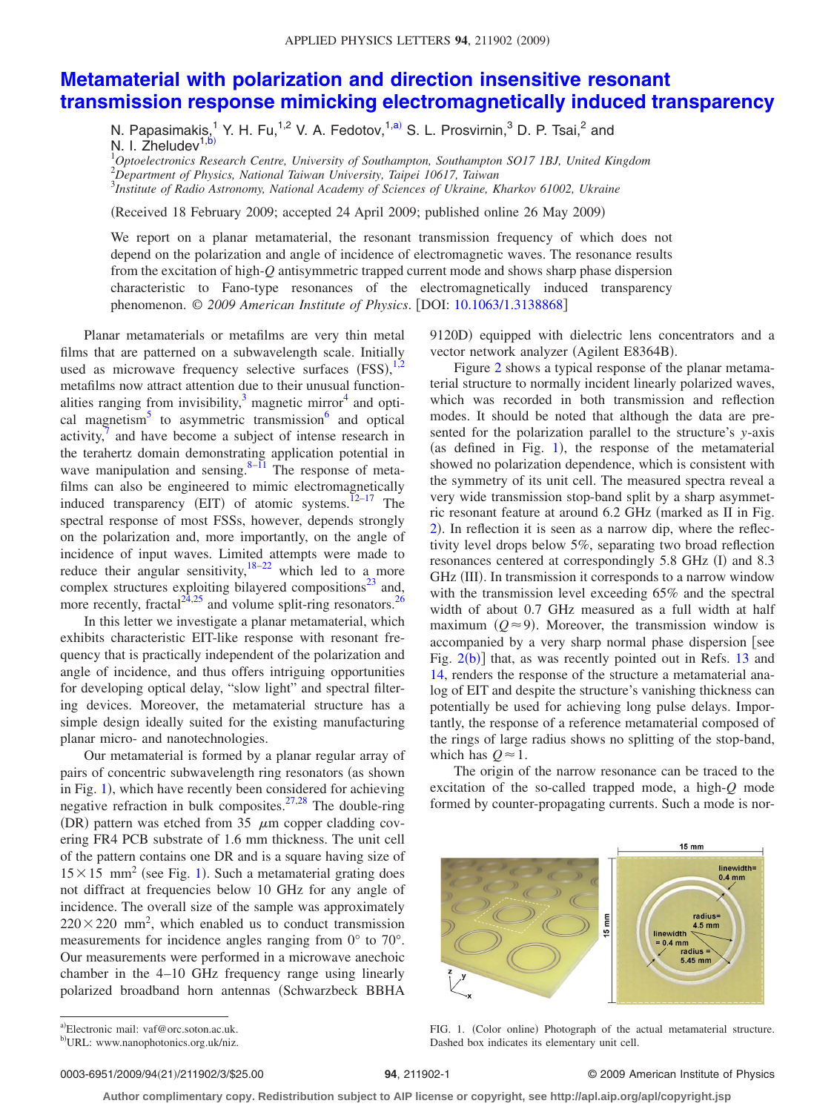## **[Metamaterial with polarization and direction insensitive resonant](http://dx.doi.org/10.1063/1.3138868) [transmission response mimicking electromagnetically induced transparency](http://dx.doi.org/10.1063/1.3138868)**

N. Papasimakis,<sup>1</sup> Y. H. Fu,<sup>1,2</sup> V. A. Fedotov,<sup>1[,a](#page-0-0))</sup> S. L. Prosvirnin,<sup>3</sup> D. P. Tsai,<sup>2</sup> and N. I. Zheludev<sup>1,t</sup>

1 *Optoelectronics Research Centre, University of Southampton, Southampton SO17 1BJ, United Kingdom*

2 *Department of Physics, National Taiwan University, Taipei 10617, Taiwan* 3 *Institute of Radio Astronomy, National Academy of Sciences of Ukraine, Kharkov 61002, Ukraine*

Received 18 February 2009; accepted 24 April 2009; published online 26 May 2009-

We report on a planar metamaterial, the resonant transmission frequency of which does not depend on the polarization and angle of incidence of electromagnetic waves. The resonance results from the excitation of high-*Q* antisymmetric trapped current mode and shows sharp phase dispersion characteristic to Fano-type resonances of the electromagnetically induced transparency phenomenon. © *2009 American Institute of Physics*. DOI: [10.1063/1.3138868](http://dx.doi.org/10.1063/1.3138868)

Planar metamaterials or metafilms are very thin metal films that are patterned on a subwavelength scale. Initially used as microwave frequency selective surfaces  $(FSS)$ ,  $^{1,2}$  $^{1,2}$  $^{1,2}$  $^{1,2}$ metafilms now attract attention due to their unusual functionalities ranging from invisibility, $3$  magnetic mirror<sup>4</sup> and optical magnetism<sup>5</sup> to asymmetric transmission<sup>6</sup> and optical activity, $\bar{7}$  and have become a subject of intense research in the terahertz domain demonstrating application potential in wave manipulation and sensing. $8-11$  The response of metafilms can also be engineered to mimic electromagnetically induced transparency (EIT) of atomic systems. $12-17$  $12-17$  The spectral response of most FSSs, however, depends strongly on the polarization and, more importantly, on the angle of incidence of input waves. Limited attempts were made to reduce their angular sensitivity, $18-22$  $18-22$  which led to a more complex structures exploiting bilayered compositions $^{23}$  and, more recently, fractal<sup>24,[25](#page-2-15)</sup> and volume split-ring resonators.<sup>26</sup>

In this letter we investigate a planar metamaterial, which exhibits characteristic EIT-like response with resonant frequency that is practically independent of the polarization and angle of incidence, and thus offers intriguing opportunities for developing optical delay, "slow light" and spectral filtering devices. Moreover, the metamaterial structure has a simple design ideally suited for the existing manufacturing planar micro- and nanotechnologies.

Our metamaterial is formed by a planar regular array of pairs of concentric subwavelength ring resonators (as shown in Fig. [1](#page-0-2)), which have recently been considered for achieving negative refraction in bulk composites. $27,28$  $27,28$  The double-ring (DR) pattern was etched from 35  $\mu$ m copper cladding covering FR4 PCB substrate of 1.6 mm thickness. The unit cell of the pattern contains one DR and is a square having size of  $15 \times 15$  $15 \times 15$  mm<sup>2</sup> (see Fig. 1). Such a metamaterial grating does not diffract at frequencies below 10 GHz for any angle of incidence. The overall size of the sample was approximately  $220 \times 220$  mm<sup>2</sup>, which enabled us to conduct transmission measurements for incidence angles ranging from 0° to 70°. Our measurements were performed in a microwave anechoic chamber in the 4–10 GHz frequency range using linearly polarized broadband horn antennas (Schwarzbeck BBHA

9120D) equipped with dielectric lens concentrators and a vector network analyzer (Agilent E8364B).

Figure [2](#page-1-0) shows a typical response of the planar metamaterial structure to normally incident linearly polarized waves, which was recorded in both transmission and reflection modes. It should be noted that although the data are presented for the polarization parallel to the structure's *y*-axis (as defined in Fig. [1](#page-0-2)), the response of the metamaterial showed no polarization dependence, which is consistent with the symmetry of its unit cell. The measured spectra reveal a very wide transmission stop-band split by a sharp asymmetric resonant feature at around 6.2 GHz (marked as II in Fig. [2](#page-1-0)). In reflection it is seen as a narrow dip, where the reflectivity level drops below 5%, separating two broad reflection resonances centered at correspondingly 5.8 GHz (I) and 8.3 GHz (III). In transmission it corresponds to a narrow window with the transmission level exceeding 65% and the spectral width of about 0.7 GHz measured as a full width at half maximum  $(Q \approx 9)$ . Moreover, the transmission window is accompanied by a very sharp normal phase dispersion [see Fig.  $2(b)$  $2(b)$ ] that, as was recently pointed out in Refs. [13](#page-2-19) and [14,](#page-2-20) renders the response of the structure a metamaterial analog of EIT and despite the structure's vanishing thickness can potentially be used for achieving long pulse delays. Importantly, the response of a reference metamaterial composed of the rings of large radius shows no splitting of the stop-band, which has  $Q \approx 1$ .

<span id="page-0-2"></span>The origin of the narrow resonance can be traced to the excitation of the so-called trapped mode, a high-*Q* mode formed by counter-propagating currents. Such a mode is nor-



FIG. 1. (Color online) Photograph of the actual metamaterial structure. Dashed box indicates its elementary unit cell.

<span id="page-0-1"></span><span id="page-0-0"></span>a)Electronic mail: vaf@orc.soton.ac.uk.

0003-6951/2009/94(21)/211902/3/\$25.00

## **211902-1 2009 American Institute of Physics**

**Author complimentary copy. Redistribution subject to AIP license or copyright, see http://apl.aip.org/apl/copyright.jsp**

b)URL: www.nanophotonics.org.uk/niz.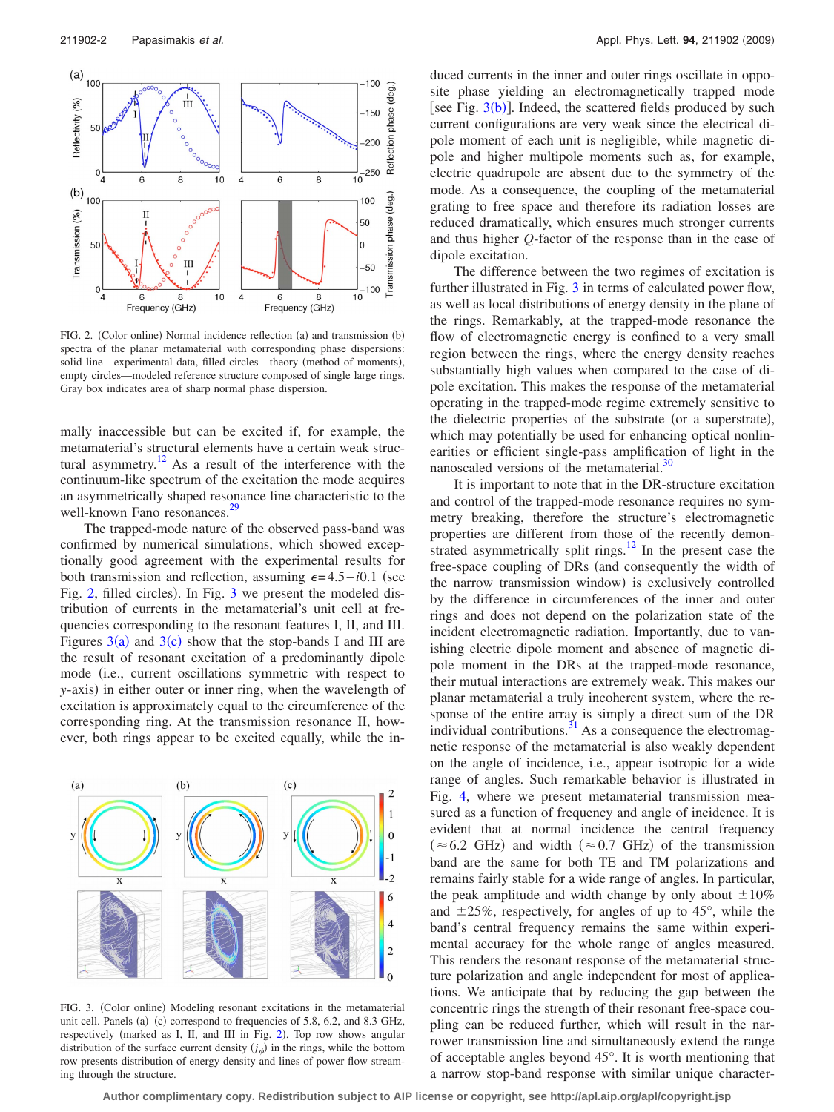<span id="page-1-0"></span>

FIG. 2. (Color online) Normal incidence reflection (a) and transmission (b) spectra of the planar metamaterial with corresponding phase dispersions: solid line—experimental data, filled circles—theory (method of moments), empty circles—modeled reference structure composed of single large rings. Gray box indicates area of sharp normal phase dispersion.

mally inaccessible but can be excited if, for example, the metamaterial's structural elements have a certain weak structural asymmetry. $12$  As a result of the interference with the continuum-like spectrum of the excitation the mode acquires an asymmetrically shaped resonance line characteristic to the well-known Fano resonances.<sup>29</sup>

The trapped-mode nature of the observed pass-band was confirmed by numerical simulations, which showed exceptionally good agreement with the experimental results for both transmission and reflection, assuming  $\epsilon = 4.5 - i0.1$  (see Fig. [2,](#page-1-0) filled circles). In Fig. [3](#page-1-1) we present the modeled distribution of currents in the metamaterial's unit cell at frequencies corresponding to the resonant features I, II, and III. Figures  $3(a)$  $3(a)$  and  $3(c)$  show that the stop-bands I and III are the result of resonant excitation of a predominantly dipole mode (i.e., current oscillations symmetric with respect to *y*-axis) in either outer or inner ring, when the wavelength of excitation is approximately equal to the circumference of the corresponding ring. At the transmission resonance II, however, both rings appear to be excited equally, while the in-

<span id="page-1-1"></span>

FIG. 3. (Color online) Modeling resonant excitations in the metamaterial unit cell. Panels  $(a)$ - $(c)$  correspond to frequencies of 5.8, 6.2, and 8.3 GHz, respectively (marked as I, II, and III in Fig. [2](#page-1-0)). Top row shows angular distribution of the surface current density  $(j_{\phi})$  in the rings, while the bottom row presents distribution of energy density and lines of power flow streaming through the structure.

duced currents in the inner and outer rings oscillate in opposite phase yielding an electromagnetically trapped mode [see Fig.  $3(b)$  $3(b)$ ]. Indeed, the scattered fields produced by such current configurations are very weak since the electrical dipole moment of each unit is negligible, while magnetic dipole and higher multipole moments such as, for example, electric quadrupole are absent due to the symmetry of the mode. As a consequence, the coupling of the metamaterial grating to free space and therefore its radiation losses are reduced dramatically, which ensures much stronger currents and thus higher *Q*-factor of the response than in the case of dipole excitation.

The difference between the two regimes of excitation is further illustrated in Fig. [3](#page-1-1) in terms of calculated power flow, as well as local distributions of energy density in the plane of the rings. Remarkably, at the trapped-mode resonance the flow of electromagnetic energy is confined to a very small region between the rings, where the energy density reaches substantially high values when compared to the case of dipole excitation. This makes the response of the metamaterial operating in the trapped-mode regime extremely sensitive to the dielectric properties of the substrate (or a superstrate), which may potentially be used for enhancing optical nonlinearities or efficient single-pass amplification of light in the nanoscaled versions of the metamaterial.<sup>30</sup>

It is important to note that in the DR-structure excitation and control of the trapped-mode resonance requires no symmetry breaking, therefore the structure's electromagnetic properties are different from those of the recently demonstrated asymmetrically split rings. $12$  In the present case the free-space coupling of DRs (and consequently the width of the narrow transmission window) is exclusively controlled by the difference in circumferences of the inner and outer rings and does not depend on the polarization state of the incident electromagnetic radiation. Importantly, due to vanishing electric dipole moment and absence of magnetic dipole moment in the DRs at the trapped-mode resonance, their mutual interactions are extremely weak. This makes our planar metamaterial a truly incoherent system, where the response of the entire array is simply a direct sum of the DR individual contributions. $31$  As a consequence the electromagnetic response of the metamaterial is also weakly dependent on the angle of incidence, i.e., appear isotropic for a wide range of angles. Such remarkable behavior is illustrated in Fig. [4,](#page-2-24) where we present metamaterial transmission measured as a function of frequency and angle of incidence. It is evident that at normal incidence the central frequency  $(\approx 6.2 \text{ GHz})$  and width  $(\approx 0.7 \text{ GHz})$  of the transmission band are the same for both TE and TM polarizations and remains fairly stable for a wide range of angles. In particular, the peak amplitude and width change by only about  $\pm 10\%$ and  $\pm 25\%$ , respectively, for angles of up to 45 $^{\circ}$ , while the band's central frequency remains the same within experimental accuracy for the whole range of angles measured. This renders the resonant response of the metamaterial structure polarization and angle independent for most of applications. We anticipate that by reducing the gap between the concentric rings the strength of their resonant free-space coupling can be reduced further, which will result in the narrower transmission line and simultaneously extend the range of acceptable angles beyond 45°. It is worth mentioning that a narrow stop-band response with similar unique character-

**Author complimentary copy. Redistribution subject to AIP license or copyright, see http://apl.aip.org/apl/copyright.jsp**